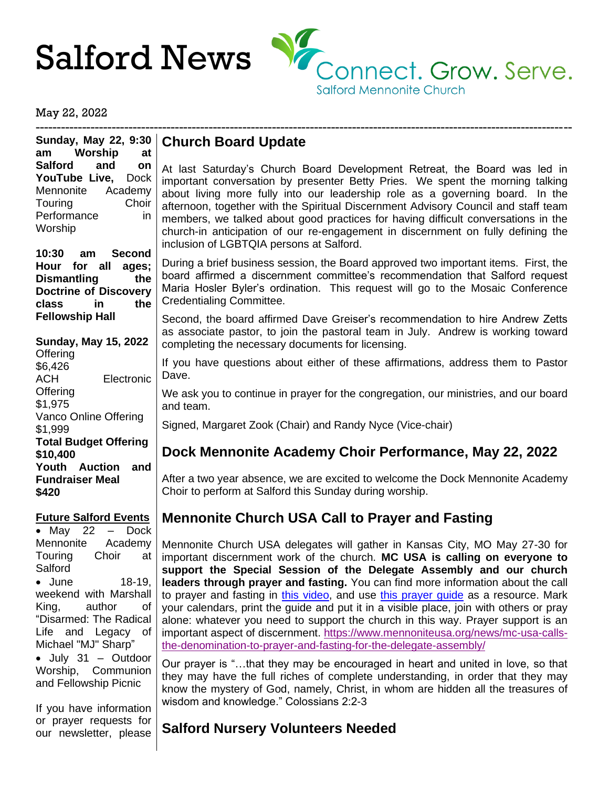

May 22, 2022

------------------------------------------------------------------------------------------------------------------------------- **Sunday, May 22, 9:30 am Worship at Salford and on YouTube Live,** Dock Mennonite Academy Touring Choir Performance in Worship

**10:30 am Second Hour for all ages; Dismantling the Doctrine of Discovery class in the Fellowship Hall**

#### **Sunday, May 15, 2022**

**Offering** \$6,426 ACH Electronic **Offering** \$1,975 Vanco Online Offering \$1,999 **Total Budget Offering \$10,400 Youth Auction and Fundraiser Meal \$420**

#### **Future Salford Events**

• May 22  $-$  Dock Mennonite Academy Touring Choir at **Salford** • June 18-19, weekend with Marshall King, author of "Disarmed: The Radical Life and Legacy of Michael "MJ" Sharp" • July 31 – Outdoor Worship, Communion and Fellowship Picnic

If you have information or prayer requests for our newsletter, please

## **Church Board Update**

At last Saturday's Church Board Development Retreat, the Board was led in important conversation by presenter Betty Pries. We spent the morning talking about living more fully into our leadership role as a governing board. In the afternoon, together with the Spiritual Discernment Advisory Council and staff team members, we talked about good practices for having difficult conversations in the church-in anticipation of our re-engagement in discernment on fully defining the inclusion of LGBTQIA persons at Salford.

During a brief business session, the Board approved two important items. First, the board affirmed a discernment committee's recommendation that Salford request Maria Hosler Byler's ordination. This request will go to the Mosaic Conference Credentialing Committee.

Second, the board affirmed Dave Greiser's recommendation to hire Andrew Zetts as associate pastor, to join the pastoral team in July. Andrew is working toward completing the necessary documents for licensing.

If you have questions about either of these affirmations, address them to Pastor Dave.

We ask you to continue in prayer for the congregation, our ministries, and our board and team.

Signed, Margaret Zook (Chair) and Randy Nyce (Vice-chair)

# **Dock Mennonite Academy Choir Performance, May 22, 2022**

After a two year absence, we are excited to welcome the Dock Mennonite Academy Choir to perform at Salford this Sunday during worship.

# **Mennonite Church USA Call to Prayer and Fasting**

Mennonite Church USA delegates will gather in Kansas City, MO May 27-30 for important discernment work of the church. **MC USA is calling on everyone to support the Special Session of the Delegate Assembly and our church leaders through prayer and fasting.** You can find more information about the call to prayer and fasting in [this video,](https://www.youtube.com/watch?v=ccHRef8jlcA) and use [this prayer guide](https://www.mennoniteusa.org/wp-content/uploads/2022/05/Delegate-Assembly-Prayer-Guide.pdf) as a resource. Mark your calendars, print the guide and put it in a visible place, join with others or pray alone: whatever you need to support the church in this way. Prayer support is an important aspect of discernment. [https://www.mennoniteusa.org/news/mc-usa-calls](https://www.mennoniteusa.org/news/mc-usa-calls-the-denomination-to-prayer-and-fasting-for-the-delegate-assembly/)[the-denomination-to-prayer-and-fasting-for-the-delegate-assembly/](https://www.mennoniteusa.org/news/mc-usa-calls-the-denomination-to-prayer-and-fasting-for-the-delegate-assembly/)

Our prayer is "…that they may be encouraged in heart and united in love, so that they may have the full riches of complete understanding, in order that they may know the mystery of God, namely, Christ, in whom are hidden all the treasures of wisdom and knowledge." Colossians 2:2-3

# **Salford Nursery Volunteers Needed**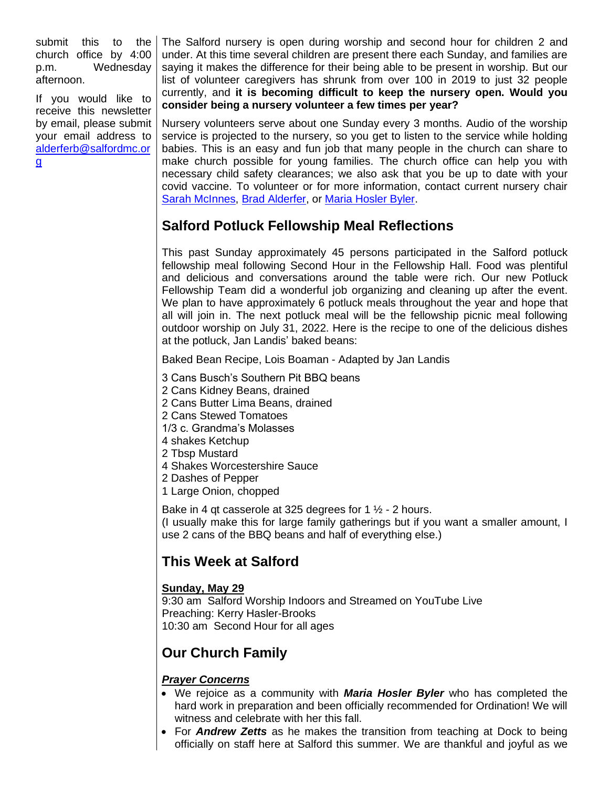submit this to the church office by 4:00 p.m. Wednesday afternoon.

If you would like to receive this newsletter by email, please submit your email address to [alderferb@salfordmc.or](mailto:alderferb@salfordmc.org) [g](mailto:alderferb@salfordmc.org)

The Salford nursery is open during worship and second hour for children 2 and under. At this time several children are present there each Sunday, and families are saying it makes the difference for their being able to be present in worship. But our list of volunteer caregivers has shrunk from over 100 in 2019 to just 32 people currently, and **it is becoming difficult to keep the nursery open. Would you consider being a nursery volunteer a few times per year?**

Nursery volunteers serve about one Sunday every 3 months. Audio of the worship service is projected to the nursery, so you get to listen to the service while holding babies. This is an easy and fun job that many people in the church can share to make church possible for young families. The church office can help you with necessary child safety clearances; we also ask that you be up to date with your covid vaccine. To volunteer or for more information, contact current nursery chair [Sarah McInnes,](mailto:smcinnes@pa.gov) [Brad Alderfer,](mailto:alderferb@salfordmc.org) or [Maria Hosler Byler.](mailto:hoslerbylerm@salfordmc.org)

# **Salford Potluck Fellowship Meal Reflections**

This past Sunday approximately 45 persons participated in the Salford potluck fellowship meal following Second Hour in the Fellowship Hall. Food was plentiful and delicious and conversations around the table were rich. Our new Potluck Fellowship Team did a wonderful job organizing and cleaning up after the event. We plan to have approximately 6 potluck meals throughout the year and hope that all will join in. The next potluck meal will be the fellowship picnic meal following outdoor worship on July 31, 2022. Here is the recipe to one of the delicious dishes at the potluck, Jan Landis' baked beans:

Baked Bean Recipe, Lois Boaman - Adapted by Jan Landis

- 3 Cans Busch's Southern Pit BBQ beans
- 2 Cans Kidney Beans, drained
- 2 Cans Butter Lima Beans, drained
- 2 Cans Stewed Tomatoes
- 1/3 c. Grandma's Molasses
- 4 shakes Ketchup
- 2 Tbsp Mustard
- 4 Shakes Worcestershire Sauce
- 2 Dashes of Pepper
- 1 Large Onion, chopped

Bake in 4 qt casserole at 325 degrees for 1  $\frac{1}{2}$  - 2 hours. (I usually make this for large family gatherings but if you want a smaller amount, I use 2 cans of the BBQ beans and half of everything else.)

# **This Week at Salford**

### **Sunday, May 29**

9:30 am Salford Worship Indoors and Streamed on YouTube Live Preaching: Kerry Hasler-Brooks 10:30 am Second Hour for all ages

## **Our Church Family**

#### *Prayer Concerns*

- We rejoice as a community with *Maria Hosler Byler* who has completed the hard work in preparation and been officially recommended for Ordination! We will witness and celebrate with her this fall.
- For *Andrew Zetts* as he makes the transition from teaching at Dock to being officially on staff here at Salford this summer. We are thankful and joyful as we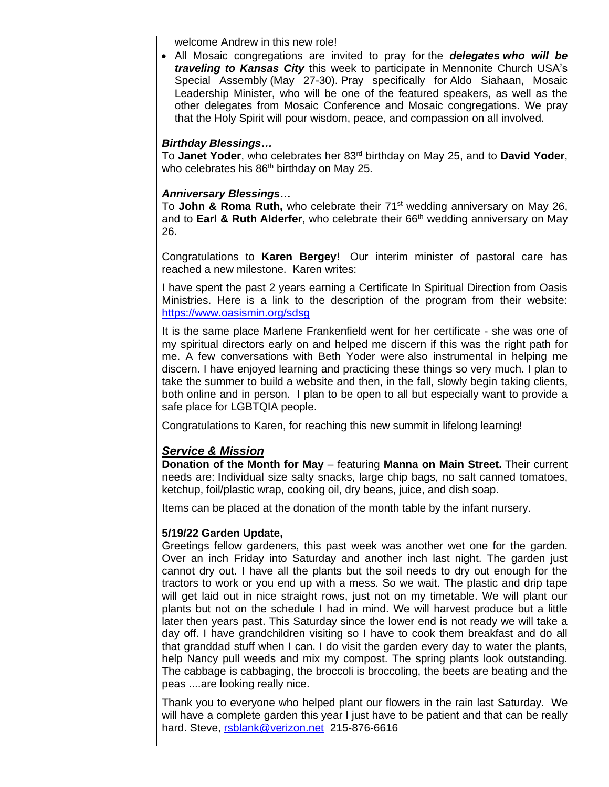welcome Andrew in this new role!

• All Mosaic congregations are invited to pray for the *delegates who will be traveling to Kansas City* this week to participate in Mennonite Church USA's Special Assembly (May 27-30). Pray specifically for Aldo Siahaan, Mosaic Leadership Minister, who will be one of the featured speakers, as well as the other delegates from Mosaic Conference and Mosaic congregations. We pray that the Holy Spirit will pour wisdom, peace, and compassion on all involved.

#### *Birthday Blessings…*

To **Janet Yoder**, who celebrates her 83rd birthday on May 25, and to **David Yoder**, who celebrates his  $86<sup>th</sup>$  birthday on May 25.

#### *Anniversary Blessings…*

To **John & Roma Ruth,** who celebrate their 71<sup>st</sup> wedding anniversary on May 26, and to **Earl & Ruth Alderfer**, who celebrate their 66<sup>th</sup> wedding anniversary on May 26.

Congratulations to **Karen Bergey!** Our interim minister of pastoral care has reached a new milestone. Karen writes:

I have spent the past 2 years earning a Certificate In Spiritual Direction from Oasis Ministries. Here is a link to the description of the program from their website: <https://www.oasismin.org/sdsg>

It is the same place Marlene Frankenfield went for her certificate - she was one of my spiritual directors early on and helped me discern if this was the right path for me. A few conversations with Beth Yoder were also instrumental in helping me discern. I have enjoyed learning and practicing these things so very much. I plan to take the summer to build a website and then, in the fall, slowly begin taking clients, both online and in person. I plan to be open to all but especially want to provide a safe place for LGBTQIA people.

Congratulations to Karen, for reaching this new summit in lifelong learning!

#### *Service & Mission*

**Donation of the Month for May** – featuring **Manna on Main Street.** Their current needs are: Individual size salty snacks, large chip bags, no salt canned tomatoes, ketchup, foil/plastic wrap, cooking oil, dry beans, juice, and dish soap.

Items can be placed at the donation of the month table by the infant nursery.

#### **5/19/22 Garden Update,**

Greetings fellow gardeners, this past week was another wet one for the garden. Over an inch Friday into Saturday and another inch last night. The garden just cannot dry out. I have all the plants but the soil needs to dry out enough for the tractors to work or you end up with a mess. So we wait. The plastic and drip tape will get laid out in nice straight rows, just not on my timetable. We will plant our plants but not on the schedule I had in mind. We will harvest produce but a little later then years past. This Saturday since the lower end is not ready we will take a day off. I have grandchildren visiting so I have to cook them breakfast and do all that granddad stuff when I can. I do visit the garden every day to water the plants, help Nancy pull weeds and mix my compost. The spring plants look outstanding. The cabbage is cabbaging, the broccoli is broccoling, the beets are beating and the peas ....are looking really nice.

Thank you to everyone who helped plant our flowers in the rain last Saturday. We will have a complete garden this year I just have to be patient and that can be really hard. Steve, [rsblank@verizon.net](mailto:rsblank@verizon.net) 215-876-6616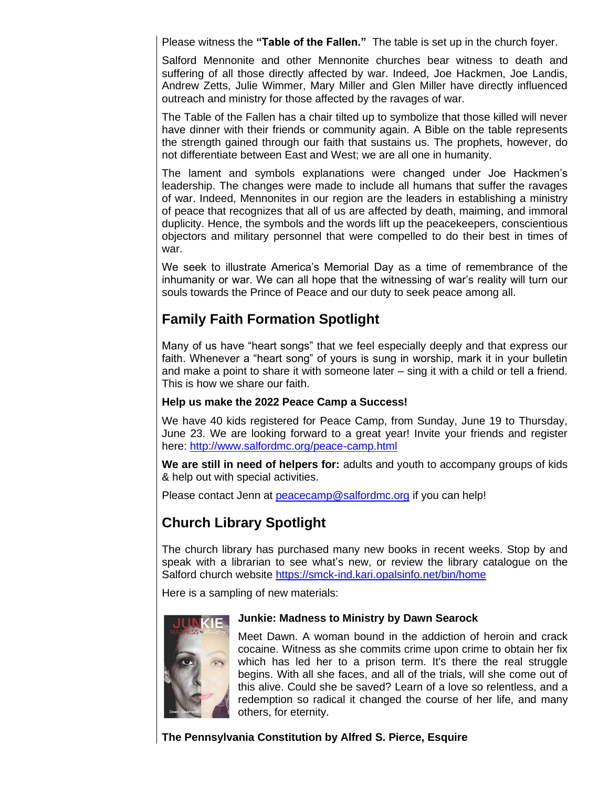Please witness the **"Table of the Fallen."** The table is set up in the church foyer.

Salford Mennonite and other Mennonite churches bear witness to death and suffering of all those directly affected by war. Indeed, Joe Hackmen, Joe Landis, Andrew Zetts, Julie Wimmer, Mary Miller and Glen Miller have directly influenced outreach and ministry for those affected by the ravages of war.

The Table of the Fallen has a chair tilted up to symbolize that those killed will never have dinner with their friends or community again. A Bible on the table represents the strength gained through our faith that sustains us. The prophets, however, do not differentiate between East and West; we are all one in humanity.

The lament and symbols explanations were changed under Joe Hackmen's leadership. The changes were made to include all humans that suffer the ravages of war. Indeed, Mennonites in our region are the leaders in establishing a ministry of peace that recognizes that all of us are affected by death, maiming, and immoral duplicity. Hence, the symbols and the words lift up the peacekeepers, conscientious objectors and military personnel that were compelled to do their best in times of war.

We seek to illustrate America's Memorial Day as a time of remembrance of the inhumanity or war. We can all hope that the witnessing of war's reality will turn our souls towards the Prince of Peace and our duty to seek peace among all.

## **Family Faith Formation Spotlight**

Many of us have "heart songs" that we feel especially deeply and that express our faith. Whenever a "heart song" of yours is sung in worship, mark it in your bulletin and make a point to share it with someone later – sing it with a child or tell a friend. This is how we share our faith.

#### **Help us make the 2022 Peace Camp a Success!**

We have 40 kids registered for Peace Camp, from Sunday, June 19 to Thursday, June 23. We are looking forward to a great year! Invite your friends and register here:<http://www.salfordmc.org/peace-camp.html>

**We are still in need of helpers for:** adults and youth to accompany groups of kids & help out with special activities.

Please contact Jenn at **peacecamp@salfordmc.org** if you can help!

# **Church Library Spotlight**

The church library has purchased many new books in recent weeks. Stop by and speak with a librarian to see what's new, or review the library catalogue on the Salford church website<https://smck-ind.kari.opalsinfo.net/bin/home>

Here is a sampling of new materials:



#### **Junkie: Madness to Ministry by Dawn Searock**

Meet Dawn. A woman bound in the addiction of heroin and crack cocaine. Witness as she commits crime upon crime to obtain her fix which has led her to a prison term. It's there the real struggle begins. With all she faces, and all of the trials, will she come out of this alive. Could she be saved? Learn of a love so relentless, and a redemption so radical it changed the course of her life, and many others, for eternity.

**The Pennsylvania Constitution by Alfred S. Pierce, Esquire**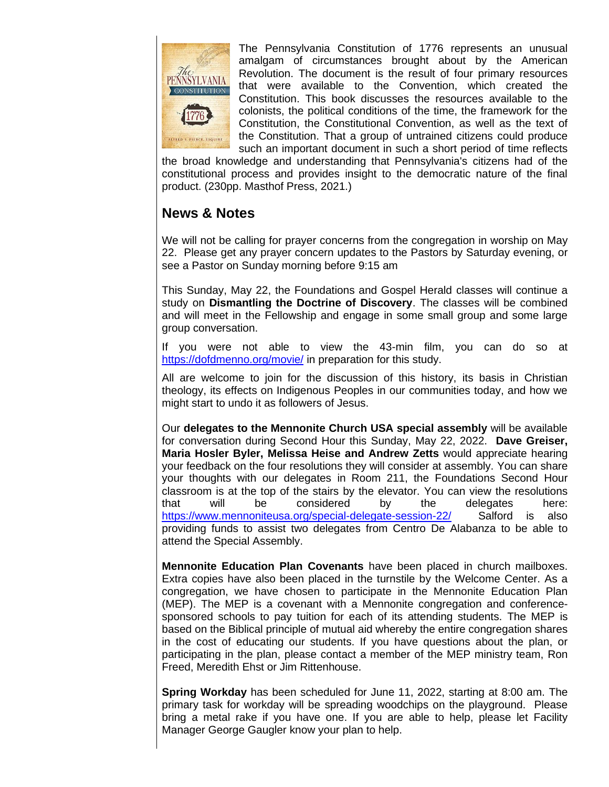

The Pennsylvania Constitution of 1776 represents an unusual amalgam of circumstances brought about by the American Revolution. The document is the result of four primary resources that were available to the Convention, which created the Constitution. This book discusses the resources available to the colonists, the political conditions of the time, the framework for the Constitution, the Constitutional Convention, as well as the text of the Constitution. That a group of untrained citizens could produce such an important document in such a short period of time reflects

the broad knowledge and understanding that Pennsylvania's citizens had of the constitutional process and provides insight to the democratic nature of the final product. (230pp. Masthof Press, 2021.)

## **News & Notes**

We will not be calling for prayer concerns from the congregation in worship on May 22. Please get any prayer concern updates to the Pastors by Saturday evening, or see a Pastor on Sunday morning before 9:15 am

This Sunday, May 22, the Foundations and Gospel Herald classes will continue a study on **Dismantling the Doctrine of Discovery**. The classes will be combined and will meet in the Fellowship and engage in some small group and some large group conversation.

If you were not able to view the 43-min film, you can do so at <https://dofdmenno.org/movie/> in preparation for this study.

All are welcome to join for the discussion of this history, its basis in Christian theology, its effects on Indigenous Peoples in our communities today, and how we might start to undo it as followers of Jesus.

Our **delegates to the Mennonite Church USA special assembly** will be available for conversation during Second Hour this Sunday, May 22, 2022. **Dave Greiser, Maria Hosler Byler, Melissa Heise and Andrew Zetts** would appreciate hearing your feedback on the four resolutions they will consider at assembly. You can share your thoughts with our delegates in Room 211, the Foundations Second Hour classroom is at the top of the stairs by the elevator. You can view the resolutions that will be considered by the delegates here: <https://www.mennoniteusa.org/special-delegate-session-22/>Salford is also providing funds to assist two delegates from Centro De Alabanza to be able to attend the Special Assembly.

**Mennonite Education Plan Covenants** have been placed in church mailboxes. Extra copies have also been placed in the turnstile by the Welcome Center. As a congregation, we have chosen to participate in the Mennonite Education Plan (MEP). The MEP is a covenant with a Mennonite congregation and conferencesponsored schools to pay tuition for each of its attending students. The MEP is based on the Biblical principle of mutual aid whereby the entire congregation shares in the cost of educating our students. If you have questions about the plan, or participating in the plan, please contact a member of the MEP ministry team, Ron Freed, Meredith Ehst or Jim Rittenhouse.

**Spring Workday** has been scheduled for June 11, 2022, starting at 8:00 am. The primary task for workday will be spreading woodchips on the playground. Please bring a metal rake if you have one. If you are able to help, please let Facility Manager George Gaugler know your plan to help.